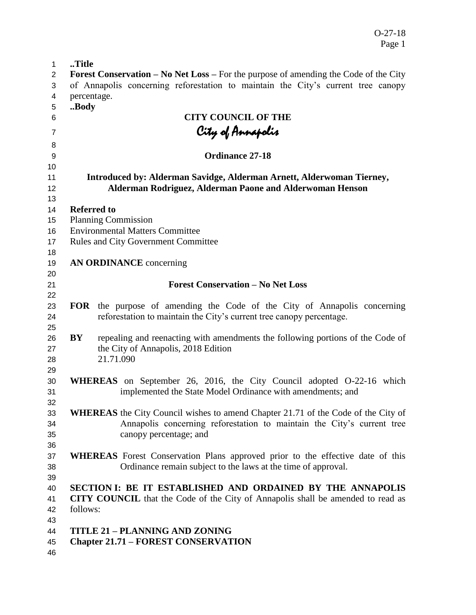| $\mathbf{1}$ | Title                                                                                                                                                  |
|--------------|--------------------------------------------------------------------------------------------------------------------------------------------------------|
| 2            | <b>Forest Conservation – No Net Loss – For the purpose of amending the Code of the City</b>                                                            |
| 3            | of Annapolis concerning reforestation to maintain the City's current tree canopy                                                                       |
| 4            | percentage.                                                                                                                                            |
| 5            | Body                                                                                                                                                   |
| 6            | <b>CITY COUNCIL OF THE</b>                                                                                                                             |
| 7            | City of Annapolis                                                                                                                                      |
|              |                                                                                                                                                        |
| 8            | Ordinance 27-18                                                                                                                                        |
| 9<br>10      |                                                                                                                                                        |
| 11           | Introduced by: Alderman Savidge, Alderman Arnett, Alderwoman Tierney,                                                                                  |
| 12           | Alderman Rodriguez, Alderman Paone and Alderwoman Henson                                                                                               |
| 13           |                                                                                                                                                        |
| 14           | <b>Referred to</b>                                                                                                                                     |
| 15           | <b>Planning Commission</b>                                                                                                                             |
| 16           | <b>Environmental Matters Committee</b>                                                                                                                 |
| 17           | Rules and City Government Committee                                                                                                                    |
| 18           |                                                                                                                                                        |
| 19           | <b>AN ORDINANCE</b> concerning                                                                                                                         |
| 20           |                                                                                                                                                        |
| 21           | <b>Forest Conservation - No Net Loss</b>                                                                                                               |
| 22           |                                                                                                                                                        |
| 23           | <b>FOR</b> the purpose of amending the Code of the City of Annapolis concerning                                                                        |
| 24           | reforestation to maintain the City's current tree canopy percentage.                                                                                   |
| 25           |                                                                                                                                                        |
| 26           | BY<br>repealing and reenacting with amendments the following portions of the Code of                                                                   |
| 27           | the City of Annapolis, 2018 Edition                                                                                                                    |
| 28           | 21.71.090                                                                                                                                              |
| 29           |                                                                                                                                                        |
| 30           | <b>WHEREAS</b> on September 26, 2016, the City Council adopted O-22-16 which                                                                           |
| 31           | implemented the State Model Ordinance with amendments; and                                                                                             |
| 32           |                                                                                                                                                        |
| 33           | <b>WHEREAS</b> the City Council wishes to amend Chapter 21.71 of the Code of the City of                                                               |
| 34           | Annapolis concerning reforestation to maintain the City's current tree                                                                                 |
| 35           | canopy percentage; and                                                                                                                                 |
| 36           |                                                                                                                                                        |
| 37<br>38     | <b>WHEREAS</b> Forest Conservation Plans approved prior to the effective date of this<br>Ordinance remain subject to the laws at the time of approval. |
| 39           |                                                                                                                                                        |
| 40           | SECTION I: BE IT ESTABLISHED AND ORDAINED BY THE ANNAPOLIS                                                                                             |
| 41           | <b>CITY COUNCIL</b> that the Code of the City of Annapolis shall be amended to read as                                                                 |
| 42           | follows:                                                                                                                                               |
| 43           |                                                                                                                                                        |
| 44           | <b>TITLE 21 - PLANNING AND ZONING</b>                                                                                                                  |
| 45           | <b>Chapter 21.71 - FOREST CONSERVATION</b>                                                                                                             |
|              |                                                                                                                                                        |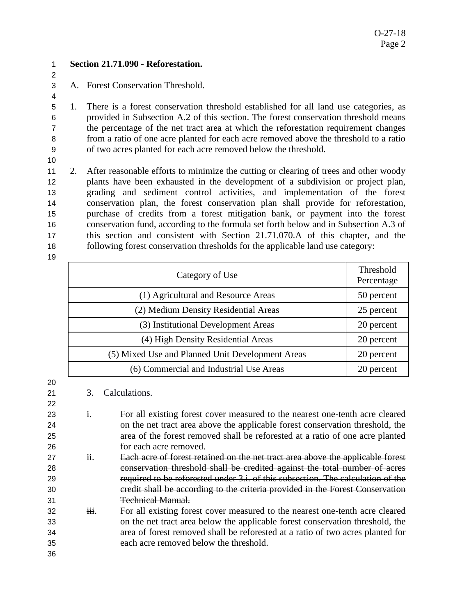$\mathfrak{p}$ 

**Section 21.71.090 - Reforestation.** 

A. Forest Conservation Threshold.

 1. There is a forest conservation threshold established for all land use categories, as provided in Subsection A.2 of this section. The forest conservation threshold means the percentage of the net tract area at which the reforestation requirement changes from a ratio of one acre planted for each acre removed above the threshold to a ratio of two acres planted for each acre removed below the threshold.

 2. After reasonable efforts to minimize the cutting or clearing of trees and other woody plants have been exhausted in the development of a subdivision or project plan, grading and sediment control activities, and implementation of the forest conservation plan, the forest conservation plan shall provide for reforestation, purchase of credits from a forest mitigation bank, or payment into the forest conservation fund, according to the formula set forth below and in Subsection A.3 of this section and consistent with Section 21.71.070.A of this chapter, and the following forest conservation thresholds for the applicable land use category:

| Category of Use                                  | Threshold<br>Percentage |
|--------------------------------------------------|-------------------------|
| (1) Agricultural and Resource Areas              | 50 percent              |
| (2) Medium Density Residential Areas             | 25 percent              |
| (3) Institutional Development Areas              | 20 percent              |
| (4) High Density Residential Areas               | 20 percent              |
| (5) Mixed Use and Planned Unit Development Areas | 20 percent              |
| (6) Commercial and Industrial Use Areas          | 20 percent              |

- 3. Calculations.
- i. For all existing forest cover measured to the nearest one-tenth acre cleared on the net tract area above the applicable forest conservation threshold, the area of the forest removed shall be reforested at a ratio of one acre planted for each acre removed.
- ii. Each acre of forest retained on the net tract area above the applicable forest conservation threshold shall be credited against the total number of acres required to be reforested under 3.i. of this subsection. The calculation of the credit shall be according to the criteria provided in the Forest Conservation Technical Manual.
- 32 iii. For all existing forest cover measured to the nearest one-tenth acre cleared on the net tract area below the applicable forest conservation threshold, the area of forest removed shall be reforested at a ratio of two acres planted for each acre removed below the threshold.